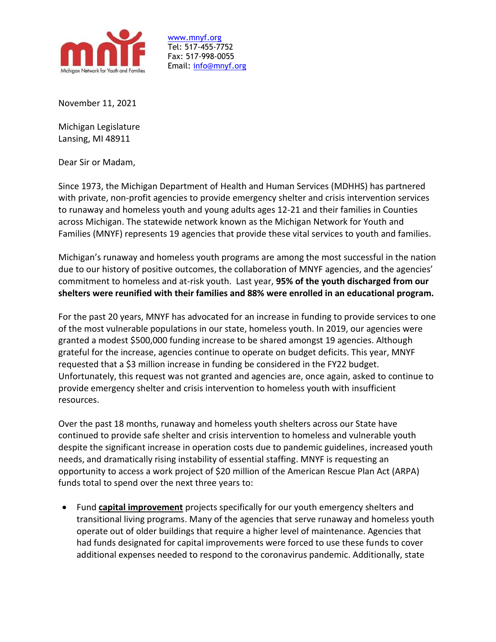

[www.mnyf.org](http://www.mnyf.org/) Tel: 517-455-7752 Fax: 517-998-0055 Email: [info@mnyf.org](mailto:info@mnyf.org)

November 11, 2021

Michigan Legislature Lansing, MI 48911

Dear Sir or Madam,

Since 1973, the Michigan Department of Health and Human Services (MDHHS) has partnered with private, non-profit agencies to provide emergency shelter and crisis intervention services to runaway and homeless youth and young adults ages 12-21 and their families in Counties across Michigan. The statewide network known as the Michigan Network for Youth and Families (MNYF) represents 19 agencies that provide these vital services to youth and families.

Michigan's runaway and homeless youth programs are among the most successful in the nation due to our history of positive outcomes, the collaboration of MNYF agencies, and the agencies' commitment to homeless and at-risk youth. Last year, **95% of the youth discharged from our shelters were reunified with their families and 88% were enrolled in an educational program.**

For the past 20 years, MNYF has advocated for an increase in funding to provide services to one of the most vulnerable populations in our state, homeless youth. In 2019, our agencies were granted a modest \$500,000 funding increase to be shared amongst 19 agencies. Although grateful for the increase, agencies continue to operate on budget deficits. This year, MNYF requested that a \$3 million increase in funding be considered in the FY22 budget. Unfortunately, this request was not granted and agencies are, once again, asked to continue to provide emergency shelter and crisis intervention to homeless youth with insufficient resources.

Over the past 18 months, runaway and homeless youth shelters across our State have continued to provide safe shelter and crisis intervention to homeless and vulnerable youth despite the significant increase in operation costs due to pandemic guidelines, increased youth needs, and dramatically rising instability of essential staffing. MNYF is requesting an opportunity to access a work project of \$20 million of the American Rescue Plan Act (ARPA) funds total to spend over the next three years to:

• Fund **capital improvement** projects specifically for our youth emergency shelters and transitional living programs. Many of the agencies that serve runaway and homeless youth operate out of older buildings that require a higher level of maintenance. Agencies that had funds designated for capital improvements were forced to use these funds to cover additional expenses needed to respond to the coronavirus pandemic. Additionally, state